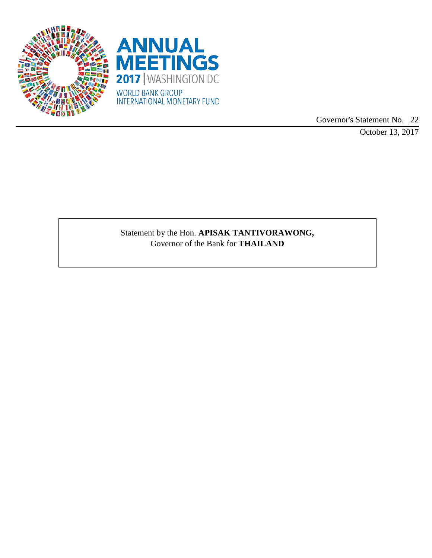



Governor's Statement No. 22

October 13, 2017

Statement by the Hon. **APISAK TANTIVORAWONG,** Governor of the Bank for **THAILAND**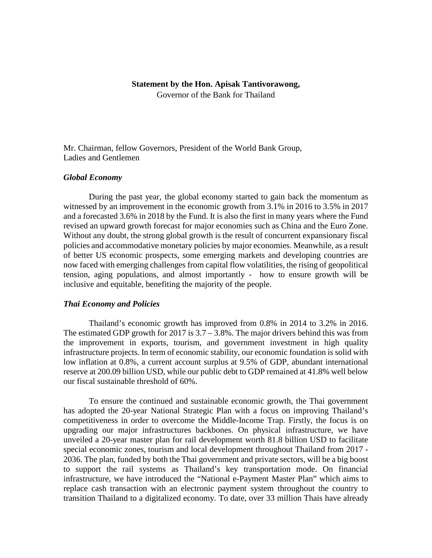#### **Statement by the Hon. Apisak Tantivorawong,**

Governor of the Bank for Thailand

Mr. Chairman, fellow Governors, President of the World Bank Group, Ladies and Gentlemen

### *Global Economy*

During the past year, the global economy started to gain back the momentum as witnessed by an improvement in the economic growth from 3.1% in 2016 to 3.5% in 2017 and a forecasted 3.6% in 2018 by the Fund. It is also the first in many years where the Fund revised an upward growth forecast for major economies such as China and the Euro Zone. Without any doubt, the strong global growth is the result of concurrent expansionary fiscal policies and accommodative monetary policies by major economies. Meanwhile, as a result of better US economic prospects, some emerging markets and developing countries are now faced with emerging challenges from capital flow volatilities, the rising of geopolitical tension, aging populations, and almost importantly - how to ensure growth will be inclusive and equitable, benefiting the majority of the people.

# *Thai Economy and Policies*

Thailand's economic growth has improved from 0.8% in 2014 to 3.2% in 2016. The estimated GDP growth for 2017 is 3.7 – 3.8%. The major drivers behind this was from the improvement in exports, tourism, and government investment in high quality infrastructure projects. In term of economic stability, our economic foundation is solid with low inflation at 0.8%, a current account surplus at 9.5% of GDP, abundant international reserve at 200.09 billion USD, while our public debt to GDP remained at 41.8% well below our fiscal sustainable threshold of 60%.

To ensure the continued and sustainable economic growth, the Thai government has adopted the 20-year National Strategic Plan with a focus on improving Thailand's competitiveness in order to overcome the Middle-Income Trap. Firstly, the focus is on upgrading our major infrastructures backbones. On physical infrastructure, we have unveiled a 20-year master plan for rail development worth 81.8 billion USD to facilitate special economic zones, tourism and local development throughout Thailand from 2017 - 2036. The plan, funded by both the Thai government and private sectors, will be a big boost to support the rail systems as Thailand's key transportation mode. On financial infrastructure, we have introduced the "National e-Payment Master Plan" which aims to replace cash transaction with an electronic payment system throughout the country to transition Thailand to a digitalized economy. To date, over 33 million Thais have already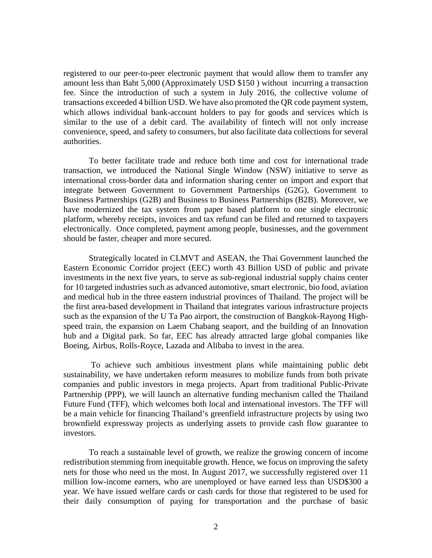registered to our peer-to-peer electronic payment that would allow them to transfer any amount less than Baht 5,000 (Approximately USD \$150 ) without incurring a transaction fee. Since the introduction of such a system in July 2016, the collective volume of transactions exceeded 4 billion USD. We have also promoted the QR code payment system, which allows individual bank-account holders to pay for goods and services which is similar to the use of a debit card. The availability of fintech will not only increase convenience, speed, and safety to consumers, but also facilitate data collections for several authorities.

To better facilitate trade and reduce both time and cost for international trade transaction, we introduced the National Single Window (NSW) initiative to serve as international cross-border data and information sharing center on import and export that integrate between Government to Government Partnerships (G2G), Government to Business Partnerships (G2B) and Business to Business Partnerships (B2B). Moreover, we have modernized the tax system from paper based platform to one single electronic platform, whereby receipts, invoices and tax refund can be filed and returned to taxpayers electronically. Once completed, payment among people, businesses, and the government should be faster, cheaper and more secured.

Strategically located in CLMVT and ASEAN, the Thai Government launched the Eastern Economic Corridor project (EEC) worth 43 Billion USD of public and private investments in the next five years, to serve as sub-regional industrial supply chains center for 10 targeted industries such as advanced automotive, smart electronic, bio food, aviation and medical hub in the three eastern industrial provinces of Thailand. The project will be the first area-based development in Thailand that integrates various infrastructure projects such as the expansion of the U Ta Pao airport, the construction of Bangkok-Rayong Highspeed train, the expansion on Laem Chabang seaport, and the building of an Innovation hub and a Digital park. So far, EEC has already attracted large global companies like Boeing, Airbus, Rolls-Royce, Lazada and Alibaba to invest in the area.

To achieve such ambitious investment plans while maintaining public debt sustainability, we have undertaken reform measures to mobilize funds from both private companies and public investors in mega projects. Apart from traditional Public-Private Partnership (PPP), we will launch an alternative funding mechanism called the Thailand Future Fund (TFF), which welcomes both local and international investors. The TFF will be a main vehicle for financing Thailand's greenfield infrastructure projects by using two brownfield expressway projects as underlying assets to provide cash flow guarantee to investors.

To reach a sustainable level of growth, we realize the growing concern of income redistribution stemming from inequitable growth. Hence, we focus on improving the safety nets for those who need us the most. In August 2017, we successfully registered over 11 million low-income earners, who are unemployed or have earned less than USD\$300 a year. We have issued welfare cards or cash cards for those that registered to be used for their daily consumption of paying for transportation and the purchase of basic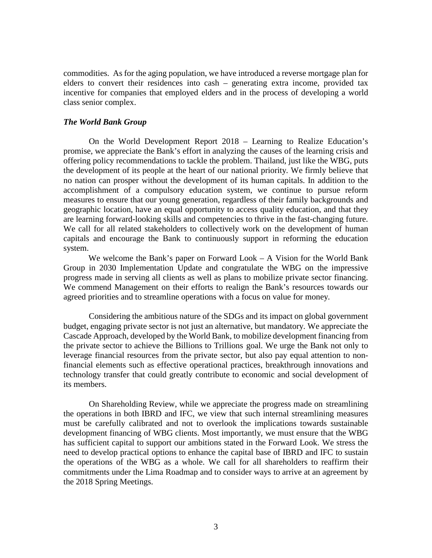commodities. As for the aging population, we have introduced a reverse mortgage plan for elders to convert their residences into cash – generating extra income, provided tax incentive for companies that employed elders and in the process of developing a world class senior complex.

## *The World Bank Group*

On the World Development Report 2018 – Learning to Realize Education's promise, we appreciate the Bank's effort in analyzing the causes of the learning crisis and offering policy recommendations to tackle the problem. Thailand, just like the WBG, puts the development of its people at the heart of our national priority. We firmly believe that no nation can prosper without the development of its human capitals. In addition to the accomplishment of a compulsory education system, we continue to pursue reform measures to ensure that our young generation, regardless of their family backgrounds and geographic location, have an equal opportunity to access quality education, and that they are learning forward-looking skills and competencies to thrive in the fast-changing future. We call for all related stakeholders to collectively work on the development of human capitals and encourage the Bank to continuously support in reforming the education system.

We welcome the Bank's paper on Forward Look  $- A$  Vision for the World Bank Group in 2030 Implementation Update and congratulate the WBG on the impressive progress made in serving all clients as well as plans to mobilize private sector financing. We commend Management on their efforts to realign the Bank's resources towards our agreed priorities and to streamline operations with a focus on value for money.

Considering the ambitious nature of the SDGs and its impact on global government budget, engaging private sector is not just an alternative, but mandatory. We appreciate the Cascade Approach, developed by the World Bank, to mobilize development financing from the private sector to achieve the Billions to Trillions goal. We urge the Bank not only to leverage financial resources from the private sector, but also pay equal attention to nonfinancial elements such as effective operational practices, breakthrough innovations and technology transfer that could greatly contribute to economic and social development of its members.

On Shareholding Review, while we appreciate the progress made on streamlining the operations in both IBRD and IFC, we view that such internal streamlining measures must be carefully calibrated and not to overlook the implications towards sustainable development financing of WBG clients. Most importantly, we must ensure that the WBG has sufficient capital to support our ambitions stated in the Forward Look. We stress the need to develop practical options to enhance the capital base of IBRD and IFC to sustain the operations of the WBG as a whole. We call for all shareholders to reaffirm their commitments under the Lima Roadmap and to consider ways to arrive at an agreement by the 2018 Spring Meetings.